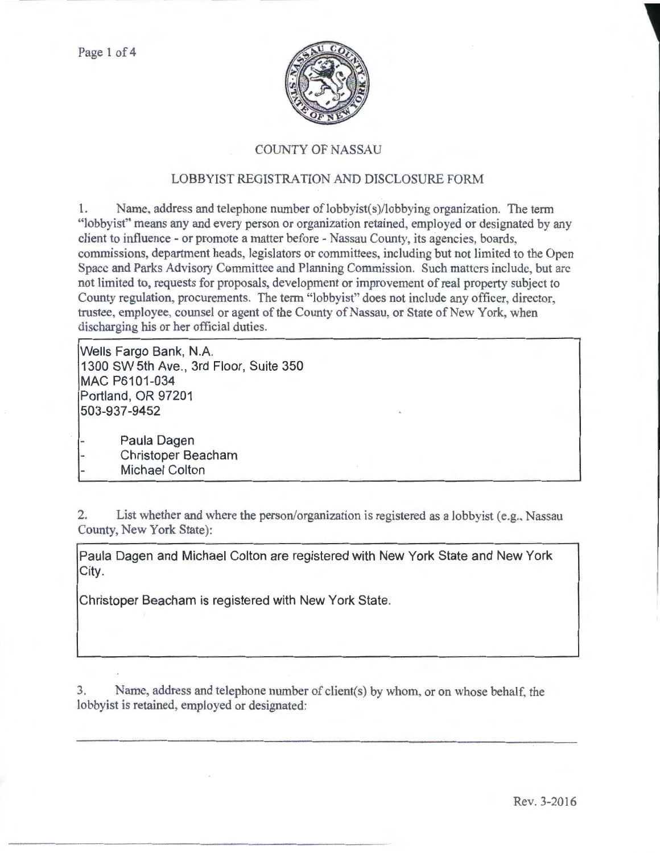

## COUNTY OF NASSAU

## LOBBYIST REGISTRATION AND DISCLOSURE FORM

1. Name, address and telephone number of lobbyist(s)/lobbying organization. The term "lobbyist" means any and every person or organization retained, employed or designated by any client to influence - or promote a matter before - Nassau County, its agencies, boards, commissions department heads, legislators or committees, including but not limited to the Open Space and Parks Advisory Committee and Planning Commission. Such matters include, but arc not limited to, requests for proposals, development or improvement of real property subject to County regulation, procurements. The term "lobbyist" does not include any officer, director, trustee, employee, counsel or agent of the County of Nassau, or State of New York, when discharging his or her official duties.

**Wells Fargo Bank, N.A. 1300 SW 5th Ave., 3rd Floor, Suite 350 MAC P6101-034 Portland, OR 97201 503-937-9452** 

**Paula Dagen Christoper Beacham** 

**Michael Colton** 

2. List whether and where the person/organization is registered as a lobbyist (e.g., Nassau County, New York State):

**Paula Dagen and Michael Colton are registered with New York State and New York City.** 

**Christoper Beacham is registered with New York State.** 

3. Name, address and telephone number of client(s) by whom, or on whose behalf, the lobbyist is retained, employed or designated: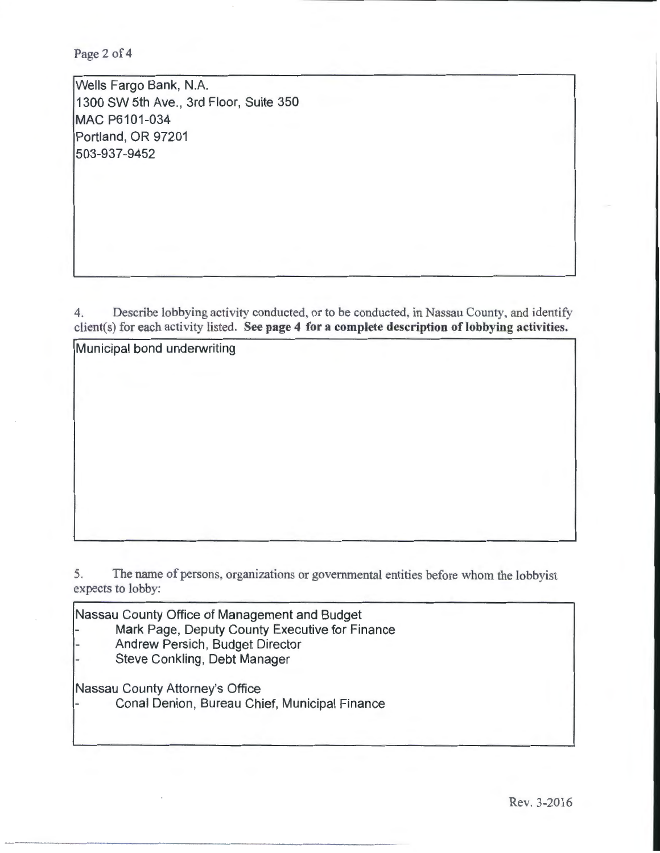Page 2 of 4

Wells Fargo Bank, N.A. 1300 SW 5th Ave., 3rd Floor, Suite 350 MAC P6101-034 Portland, OR 97201 503-937-9452

4. Describe lobbying activity conducted, or to be conducted, in Nassau County, and identify client(s) for each activity listed. See page 4 for a complete description of lobbying activities.

Municipal bond underwriting

5. The name of persons, organizations or governmental entities before whom the lobbyist expects to lobby:

Nassau County Office of Management and Budget Mark Page, Deputy County Executive for Finance Andrew Persich, Budget Director Steve Conkling, Debt Manager

Nassau County Attorney's Office Conal Denion, Bureau Chief, Municipal Finance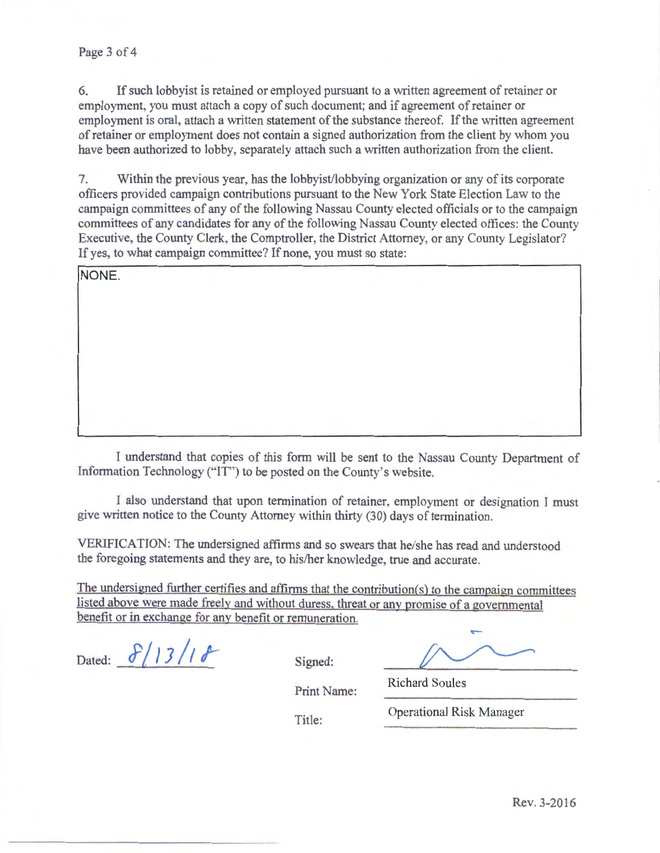## Page 3 of 4

6. If such lobbyist is retained or employed pursuant to a written agreement of retainer or employment, you must attach a copy of such document; and if agreement of retainer or employment is oral, attach a written statement of the substance thereof. If the written agreement of retainer or employment does not contain a signed authorization from the client by whom you have been authorized to lobby, separately attach such a written authorization from the client.

7. Within the previous year, has the lobbyist/lobbying organization or any of its corporate officers provided campaign contributions pursuant to the New York State Election Law to the campaign committees of any of the following Nassau County elected officials or to the campaign committees of any candidates for any of the following Nassau County elected offices: the County Executive, the County Clerk, the Comptroller, the District Attorney, or any County Legislator? If yes, to what campaign committee? If none, you must so state:

**NONE.** 

I understand that copies of this form will be sent to the Nassau County Department of Information Technology ("IT") to be posted on the County's website.

I also understand that upon termination of retainer, employment or designation I must give written notice to the County Attorney within thirty (30) days of termination.

VERIFICATION: The undersigned affirms and so swears that he/she has read and understood the foregoing statements and they are, to his/her knowledge, true and accurate.

The undersigned further certifies and affirms that the contribution(s) to the campaign committees listed above were made freely and without duress, threat or any promise of a governmental benefit or in exchange for any benefit or remuneration.

Dated:  $\frac{\partial}{\partial 3}$  /  $\frac{\partial}{\partial 5}$  Signed:

Print Name: Richard Soules

Title: Operational Risk Manager